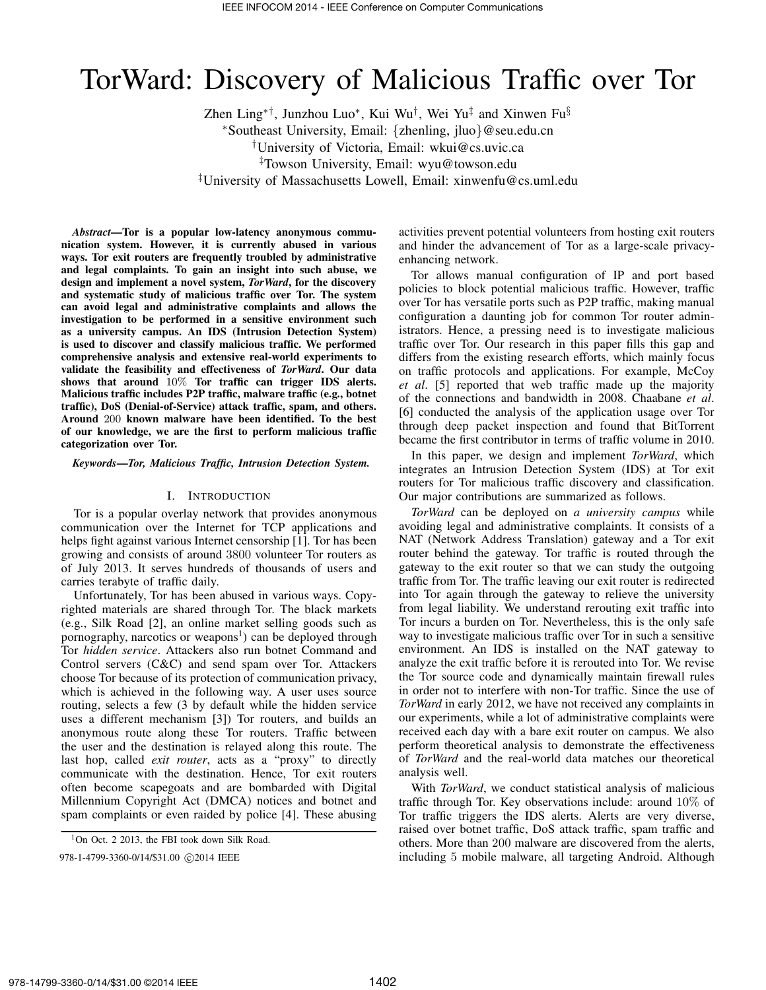# TorWard: Discovery of Malicious Traffic over Tor

Zhen Ling<sup>∗†</sup>, Junzhou Luo<sup>∗</sup>, Kui Wu<sup>†</sup>, Wei Yu<sup>‡</sup> and Xinwen Fu<sup>§</sup>

<sup>∗</sup>Southeast University, Email: {zhenling, jluo}@seu.edu.cn

†University of Victoria, Email: wkui@cs.uvic.ca

‡Towson University, Email: wyu@towson.edu

‡University of Massachusetts Lowell, Email: xinwenfu@cs.uml.edu

*Abstract***—Tor is a popular low-latency anonymous communication system. However, it is currently abused in various ways. Tor exit routers are frequently troubled by administrative and legal complaints. To gain an insight into such abuse, we design and implement a novel system,** *TorWard***, for the discovery and systematic study of malicious traffic over Tor. The system can avoid legal and administrative complaints and allows the investigation to be performed in a sensitive environment such as a university campus. An IDS (Intrusion Detection System) is used to discover and classify malicious traffic. We performed comprehensive analysis and extensive real-world experiments to validate the feasibility and effectiveness of** *TorWard***. Our data shows that around** 10% **Tor traffic can trigger IDS alerts. Malicious traffic includes P2P traffic, malware traffic (e.g., botnet traffic), DoS (Denial-of-Service) attack traffic, spam, and others. Around** 200 **known malware have been identified. To the best of our knowledge, we are the first to perform malicious traffic categorization over Tor.**

*Keywords***—***Tor, Malicious Traffic, Intrusion Detection System.*

# I. INTRODUCTION

Tor is a popular overlay network that provides anonymous communication over the Internet for TCP applications and helps fight against various Internet censorship [1]. Tor has been growing and consists of around 3800 volunteer Tor routers as of July 2013. It serves hundreds of thousands of users and carries terabyte of traffic daily.

Unfortunately, Tor has been abused in various ways. Copyrighted materials are shared through Tor. The black markets (e.g., Silk Road [2], an online market selling goods such as pornography, narcotics or weapons<sup>1</sup>) can be deployed through Tor *hidden service*. Attackers also run botnet Command and Control servers (C&C) and send spam over Tor. Attackers choose Tor because of its protection of communication privacy, which is achieved in the following way. A user uses source routing, selects a few (3 by default while the hidden service uses a different mechanism [3]) Tor routers, and builds an anonymous route along these Tor routers. Traffic between the user and the destination is relayed along this route. The last hop, called *exit router*, acts as a "proxy" to directly communicate with the destination. Hence, Tor exit routers often become scapegoats and are bombarded with Digital Millennium Copyright Act (DMCA) notices and botnet and spam complaints or even raided by police [4]. These abusing activities prevent potential volunteers from hosting exit routers and hinder the advancement of Tor as a large-scale privacyenhancing network.

Tor allows manual configuration of IP and port based policies to block potential malicious traffic. However, traffic over Tor has versatile ports such as P2P traffic, making manual configuration a daunting job for common Tor router administrators. Hence, a pressing need is to investigate malicious traffic over Tor. Our research in this paper fills this gap and differs from the existing research efforts, which mainly focus on traffic protocols and applications. For example, McCoy *et al*. [5] reported that web traffic made up the majority of the connections and bandwidth in 2008. Chaabane *et al*. [6] conducted the analysis of the application usage over Tor through deep packet inspection and found that BitTorrent became the first contributor in terms of traffic volume in 2010.

In this paper, we design and implement *TorWard*, which integrates an Intrusion Detection System (IDS) at Tor exit routers for Tor malicious traffic discovery and classification. Our major contributions are summarized as follows.

*TorWard* can be deployed on *a university campus* while avoiding legal and administrative complaints. It consists of a NAT (Network Address Translation) gateway and a Tor exit router behind the gateway. Tor traffic is routed through the gateway to the exit router so that we can study the outgoing traffic from Tor. The traffic leaving our exit router is redirected into Tor again through the gateway to relieve the university from legal liability. We understand rerouting exit traffic into Tor incurs a burden on Tor. Nevertheless, this is the only safe way to investigate malicious traffic over Tor in such a sensitive environment. An IDS is installed on the NAT gateway to analyze the exit traffic before it is rerouted into Tor. We revise the Tor source code and dynamically maintain firewall rules in order not to interfere with non-Tor traffic. Since the use of *TorWard* in early 2012, we have not received any complaints in our experiments, while a lot of administrative complaints were received each day with a bare exit router on campus. We also perform theoretical analysis to demonstrate the effectiveness of *TorWard* and the real-world data matches our theoretical analysis well.

With *TorWard*, we conduct statistical analysis of malicious traffic through Tor. Key observations include: around 10% of Tor traffic triggers the IDS alerts. Alerts are very diverse, raised over botnet traffic, DoS attack traffic, spam traffic and others. More than 200 malware are discovered from the alerts, 978-1-4799-3360-0/14/\$31.00 C 2014 IEEE including 5 mobile malware, all targeting Android. Although

<sup>&</sup>lt;sup>1</sup>On Oct. 2 2013, the FBI took down Silk Road.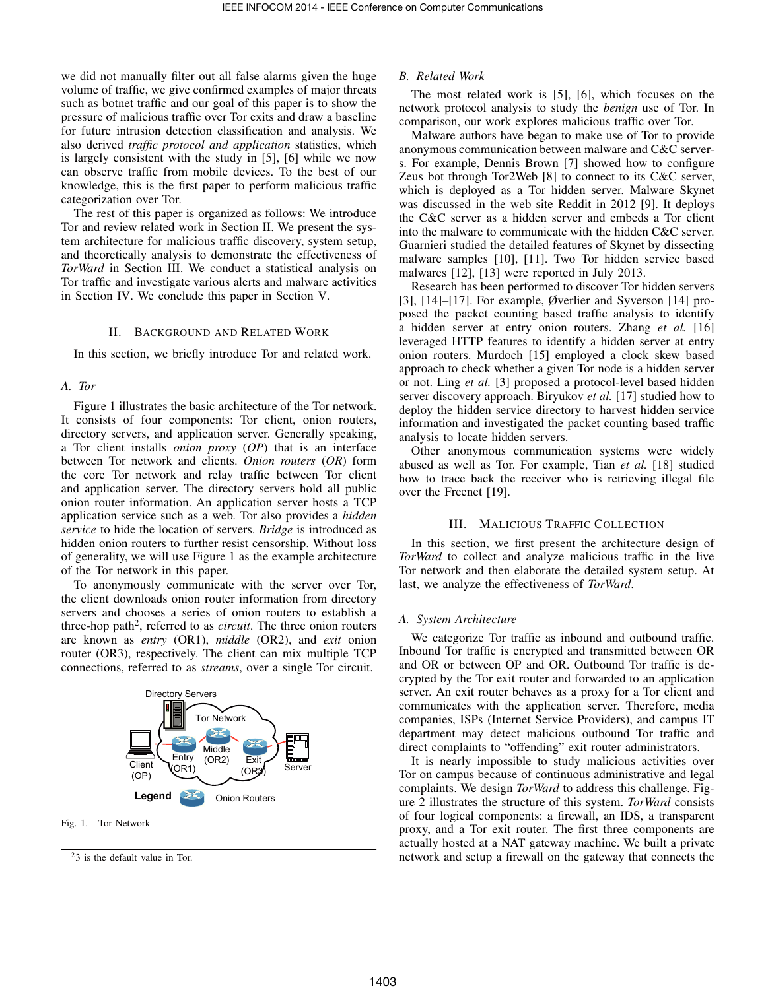we did not manually filter out all false alarms given the huge volume of traffic, we give confirmed examples of major threats such as botnet traffic and our goal of this paper is to show the pressure of malicious traffic over Tor exits and draw a baseline for future intrusion detection classification and analysis. We also derived *traffic protocol and application* statistics, which is largely consistent with the study in [5], [6] while we now can observe traffic from mobile devices. To the best of our knowledge, this is the first paper to perform malicious traffic categorization over Tor.

The rest of this paper is organized as follows: We introduce Tor and review related work in Section II. We present the system architecture for malicious traffic discovery, system setup, and theoretically analysis to demonstrate the effectiveness of *TorWard* in Section III. We conduct a statistical analysis on Tor traffic and investigate various alerts and malware activities in Section IV. We conclude this paper in Section V.

#### II. BACKGROUND AND RELATED WORK

In this section, we briefly introduce Tor and related work.

# *A. Tor*

Figure 1 illustrates the basic architecture of the Tor network. It consists of four components: Tor client, onion routers, directory servers, and application server. Generally speaking, a Tor client installs *onion proxy* (*OP*) that is an interface between Tor network and clients. *Onion routers* (*OR*) form the core Tor network and relay traffic between Tor client and application server. The directory servers hold all public onion router information. An application server hosts a TCP application service such as a web. Tor also provides a *hidden service* to hide the location of servers. *Bridge* is introduced as hidden onion routers to further resist censorship. Without loss of generality, we will use Figure 1 as the example architecture of the Tor network in this paper.

To anonymously communicate with the server over Tor, the client downloads onion router information from directory servers and chooses a series of onion routers to establish a three-hop path<sup>2</sup>, referred to as *circuit*. The three onion routers are known as *entry* (OR1), *middle* (OR2), and *exit* onion router (OR3), respectively. The client can mix multiple TCP connections, referred to as *streams*, over a single Tor circuit.



Fig. 1. Tor Network

# *B. Related Work*

The most related work is [5], [6], which focuses on the network protocol analysis to study the *benign* use of Tor. In comparison, our work explores malicious traffic over Tor.

Malware authors have began to make use of Tor to provide anonymous communication between malware and C&C servers. For example, Dennis Brown [7] showed how to configure Zeus bot through Tor2Web [8] to connect to its C&C server, which is deployed as a Tor hidden server. Malware Skynet was discussed in the web site Reddit in 2012 [9]. It deploys the C&C server as a hidden server and embeds a Tor client into the malware to communicate with the hidden C&C server. Guarnieri studied the detailed features of Skynet by dissecting malware samples [10], [11]. Two Tor hidden service based malwares [12], [13] were reported in July 2013.

Research has been performed to discover Tor hidden servers [3], [14]–[17]. For example, Øverlier and Syverson [14] proposed the packet counting based traffic analysis to identify a hidden server at entry onion routers. Zhang *et al.* [16] leveraged HTTP features to identify a hidden server at entry onion routers. Murdoch [15] employed a clock skew based approach to check whether a given Tor node is a hidden server or not. Ling *et al.* [3] proposed a protocol-level based hidden server discovery approach. Biryukov *et al.* [17] studied how to deploy the hidden service directory to harvest hidden service information and investigated the packet counting based traffic analysis to locate hidden servers.

Other anonymous communication systems were widely abused as well as Tor. For example, Tian *et al.* [18] studied how to trace back the receiver who is retrieving illegal file over the Freenet [19].

# III. MALICIOUS TRAFFIC COLLECTION

In this section, we first present the architecture design of *TorWard* to collect and analyze malicious traffic in the live Tor network and then elaborate the detailed system setup. At last, we analyze the effectiveness of *TorWard*.

#### *A. System Architecture*

We categorize Tor traffic as inbound and outbound traffic. Inbound Tor traffic is encrypted and transmitted between OR and OR or between OP and OR. Outbound Tor traffic is decrypted by the Tor exit router and forwarded to an application server. An exit router behaves as a proxy for a Tor client and communicates with the application server. Therefore, media companies, ISPs (Internet Service Providers), and campus IT department may detect malicious outbound Tor traffic and direct complaints to "offending" exit router administrators.

It is nearly impossible to study malicious activities over Tor on campus because of continuous administrative and legal complaints. We design *TorWard* to address this challenge. Figure 2 illustrates the structure of this system. *TorWard* consists of four logical components: a firewall, an IDS, a transparent proxy, and a Tor exit router. The first three components are actually hosted at a NAT gateway machine. We built a private network and setup a firewall on the gateway that connects the

<sup>23</sup> is the default value in Tor.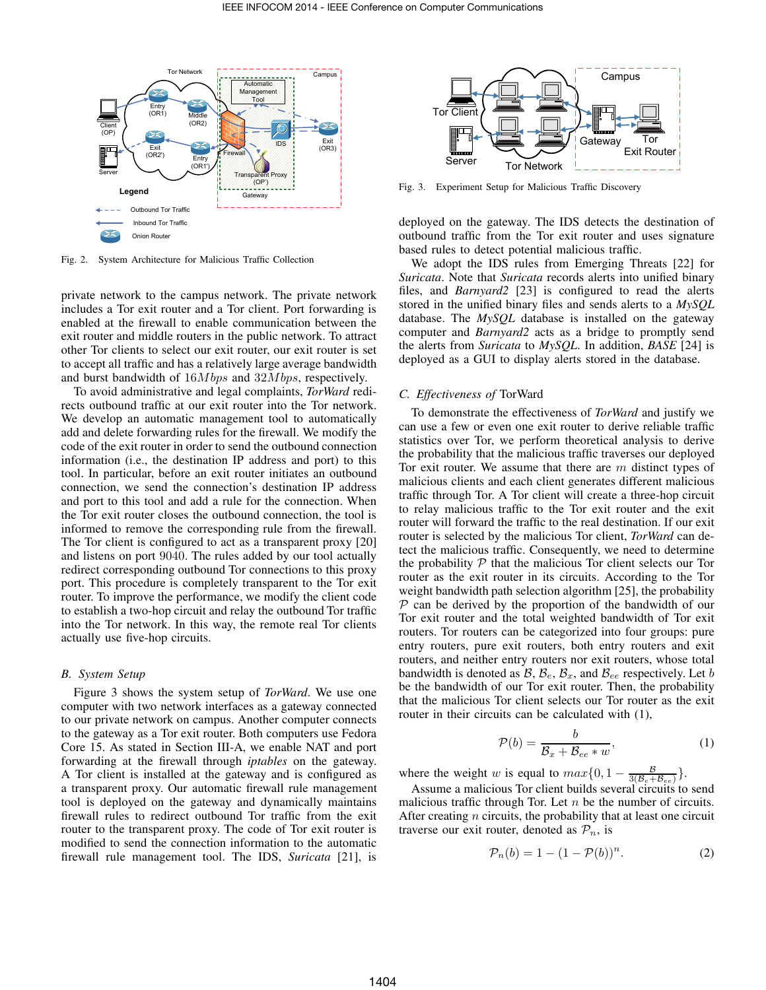

Fig. 2. System Architecture for Malicious Traffic Collection

private network to the campus network. The private network includes a Tor exit router and a Tor client. Port forwarding is enabled at the firewall to enable communication between the exit router and middle routers in the public network. To attract other Tor clients to select our exit router, our exit router is set to accept all traffic and has a relatively large average bandwidth and burst bandwidth of  $16Mbps$  and  $32Mbps$ , respectively.

To avoid administrative and legal complaints, *TorWard* redirects outbound traffic at our exit router into the Tor network. We develop an automatic management tool to automatically add and delete forwarding rules for the firewall. We modify the code of the exit router in order to send the outbound connection information (i.e., the destination IP address and port) to this tool. In particular, before an exit router initiates an outbound connection, we send the connection's destination IP address and port to this tool and add a rule for the connection. When the Tor exit router closes the outbound connection, the tool is informed to remove the corresponding rule from the firewall. The Tor client is configured to act as a transparent proxy [20] and listens on port 9040. The rules added by our tool actually redirect corresponding outbound Tor connections to this proxy port. This procedure is completely transparent to the Tor exit router. To improve the performance, we modify the client code to establish a two-hop circuit and relay the outbound Tor traffic into the Tor network. In this way, the remote real Tor clients actually use five-hop circuits.

# *B. System Setup*

Figure 3 shows the system setup of *TorWard*. We use one computer with two network interfaces as a gateway connected to our private network on campus. Another computer connects to the gateway as a Tor exit router. Both computers use Fedora Core 15. As stated in Section III-A, we enable NAT and port forwarding at the firewall through *iptables* on the gateway. A Tor client is installed at the gateway and is configured as a transparent proxy. Our automatic firewall rule management tool is deployed on the gateway and dynamically maintains firewall rules to redirect outbound Tor traffic from the exit router to the transparent proxy. The code of Tor exit router is modified to send the connection information to the automatic firewall rule management tool. The IDS, *Suricata* [21], is



Fig. 3. Experiment Setup for Malicious Traffic Discovery

deployed on the gateway. The IDS detects the destination of outbound traffic from the Tor exit router and uses signature based rules to detect potential malicious traffic.

We adopt the IDS rules from Emerging Threats [22] for *Suricata*. Note that *Suricata* records alerts into unified binary files, and *Barnyard2* [23] is configured to read the alerts stored in the unified binary files and sends alerts to a *MySQL* database. The *MySQL* database is installed on the gateway computer and *Barnyard2* acts as a bridge to promptly send the alerts from *Suricata* to *MySQL*. In addition, *BASE* [24] is deployed as a GUI to display alerts stored in the database.

# *C. Effectiveness of* TorWard

To demonstrate the effectiveness of *TorWard* and justify we can use a few or even one exit router to derive reliable traffic statistics over Tor, we perform theoretical analysis to derive the probability that the malicious traffic traverses our deployed Tor exit router. We assume that there are  $m$  distinct types of malicious clients and each client generates different malicious traffic through Tor. A Tor client will create a three-hop circuit to relay malicious traffic to the Tor exit router and the exit router will forward the traffic to the real destination. If our exit router is selected by the malicious Tor client, *TorWard* can detect the malicious traffic. Consequently, we need to determine the probability  $P$  that the malicious Tor client selects our Tor router as the exit router in its circuits. According to the Tor weight bandwidth path selection algorithm [25], the probability  $P$  can be derived by the proportion of the bandwidth of our Tor exit router and the total weighted bandwidth of Tor exit routers. Tor routers can be categorized into four groups: pure entry routers, pure exit routers, both entry routers and exit routers, and neither entry routers nor exit routers, whose total bandwidth is denoted as  $\mathcal{B}, \mathcal{B}_e, \mathcal{B}_x$ , and  $\mathcal{B}_{ee}$  respectively. Let b be the bandwidth of our Tor exit router. Then, the probability that the malicious Tor client selects our Tor router as the exit router in their circuits can be calculated with  $(1)$ ,

$$
\mathcal{P}(b) = \frac{b}{\mathcal{B}_x + \mathcal{B}_{ee} * w},\tag{1}
$$

where the weight w is equal to  $max\{0, 1 - \frac{B}{3(B_e + B_{ee})}\}.$ 

Assume a malicious Tor client builds several circuits to send malicious traffic through Tor. Let  $n$  be the number of circuits. After creating  $n$  circuits, the probability that at least one circuit traverse our exit router, denoted as  $P_n$ , is

$$
\mathcal{P}_n(b) = 1 - (1 - \mathcal{P}(b))^n.
$$
 (2)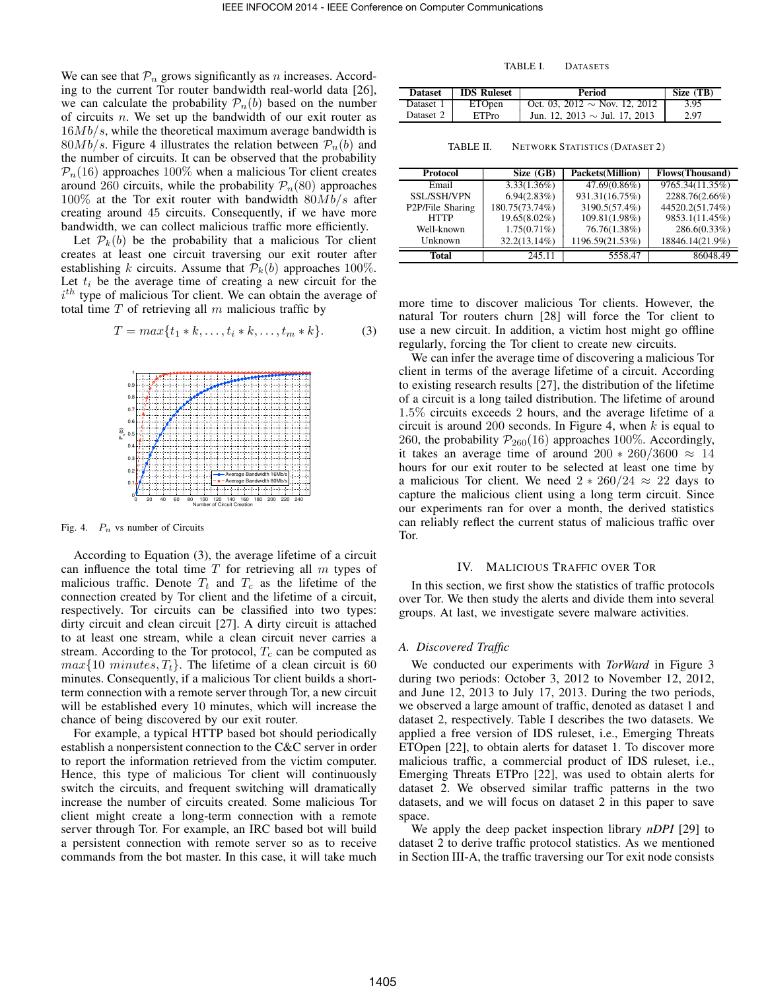We can see that  $P_n$  grows significantly as n increases. According to the current Tor router bandwidth real-world data [26], we can calculate the probability  $P_n(b)$  based on the number of circuits  $n$ . We set up the bandwidth of our exit router as  $16Mb/s$ , while the theoretical maximum average bandwidth is 80 $Mb/s$ . Figure 4 illustrates the relation between  $\mathcal{P}_n(b)$  and the number of circuits. It can be observed that the probability  $P_n(16)$  approaches 100% when a malicious Tor client creates around 260 circuits, while the probability  $\mathcal{P}_n(80)$  approaches  $100\%$  at the Tor exit router with bandwidth  $80Mb/s$  after creating around 45 circuits. Consequently, if we have more bandwidth, we can collect malicious traffic more efficiently.

Let  $\mathcal{P}_k(b)$  be the probability that a malicious Tor client creates at least one circuit traversing our exit router after establishing k circuits. Assume that  $P_k(b)$  approaches 100%. Let  $t_i$  be the average time of creating a new circuit for the  $i<sup>th</sup>$  type of malicious Tor client. We can obtain the average of total time  $T$  of retrieving all  $m$  malicious traffic by

$$
T = max\{t_1 * k, \dots, t_i * k, \dots, t_m * k\}.
$$
 (3)



Fig. 4.  $P_n$  vs number of Circuits

According to Equation (3), the average lifetime of a circuit can influence the total time  $T$  for retrieving all  $m$  types of malicious traffic. Denote  $T_t$  and  $T_c$  as the lifetime of the connection created by Tor client and the lifetime of a circuit, respectively. Tor circuits can be classified into two types: dirty circuit and clean circuit [27]. A dirty circuit is attached to at least one stream, while a clean circuit never carries a stream. According to the Tor protocol,  $T_c$  can be computed as  $max\{10 \, minutes, T_t\}$ . The lifetime of a clean circuit is 60 minutes. Consequently, if a malicious Tor client builds a shortterm connection with a remote server through Tor, a new circuit will be established every 10 minutes, which will increase the chance of being discovered by our exit router.

For example, a typical HTTP based bot should periodically establish a nonpersistent connection to the C&C server in order to report the information retrieved from the victim computer. Hence, this type of malicious Tor client will continuously switch the circuits, and frequent switching will dramatically increase the number of circuits created. Some malicious Tor client might create a long-term connection with a remote server through Tor. For example, an IRC based bot will build a persistent connection with remote server so as to receive commands from the bot master. In this case, it will take much

#### TABLE I. DATASETS

| <b>Dataset</b> | <b>IDS</b> Ruleset | Period                             | Size (TB) |
|----------------|--------------------|------------------------------------|-----------|
| Dataset 1      | ETOpen             | Oct. 03, 2012 $\sim$ Nov. 12, 2012 | 3.95      |
| Dataset 2      | ETPro              | Jun. 12, 2013 $\sim$ Jul. 17, 2013 | 2.97      |

TABLE II. NETWORK STATISTICS (DATASET 2)

| <b>Protocol</b>    | Size $(GB)$     | <b>Packets</b> (Million) | <b>Flows</b> (Thousand) |
|--------------------|-----------------|--------------------------|-------------------------|
| Email              | $3.33(1.36\%)$  | $47.69(0.86\%)$          | 9765.34(11.35%)         |
| <b>SSL/SSH/VPN</b> | 6.94(2.83%)     | 931.31(16.75%)           | 2288.76(2.66%)          |
| P2P/File Sharing   | 180.75(73.74%)  | 3190.5(57.4%)            | 44520.2(51.74%)         |
| <b>HTTP</b>        | 19.65(8.02%)    | 109.81(1.98%)            | 9853.1(11.45%)          |
| Well-known         | $1.75(0.71\%)$  | 76.76(1.38%)             | $286.6(0.33\%)$         |
| Unknown            | $32.2(13.14\%)$ | 1196.59(21.53%)          | 18846.14(21.9%)         |
| Total              | 245.11          | 5558.47                  | 8604849                 |

more time to discover malicious Tor clients. However, the natural Tor routers churn [28] will force the Tor client to use a new circuit. In addition, a victim host might go offline regularly, forcing the Tor client to create new circuits.

We can infer the average time of discovering a malicious Tor client in terms of the average lifetime of a circuit. According to existing research results [27], the distribution of the lifetime of a circuit is a long tailed distribution. The lifetime of around 1.5% circuits exceeds 2 hours, and the average lifetime of a circuit is around 200 seconds. In Figure 4, when  $k$  is equal to 260, the probability  $\mathcal{P}_{260}(16)$  approaches 100%. Accordingly, it takes an average time of around  $200 * 260/3600 \approx 14$ hours for our exit router to be selected at least one time by a malicious Tor client. We need  $2 * 260/24 \approx 22$  days to capture the malicious client using a long term circuit. Since our experiments ran for over a month, the derived statistics can reliably reflect the current status of malicious traffic over Tor.

#### IV. MALICIOUS TRAFFIC OVER TOR

In this section, we first show the statistics of traffic protocols over Tor. We then study the alerts and divide them into several groups. At last, we investigate severe malware activities.

#### *A. Discovered Traffic*

We conducted our experiments with *TorWard* in Figure 3 during two periods: October 3, 2012 to November 12, 2012, and June 12, 2013 to July 17, 2013. During the two periods, we observed a large amount of traffic, denoted as dataset 1 and dataset 2, respectively. Table I describes the two datasets. We applied a free version of IDS ruleset, i.e., Emerging Threats ETOpen [22], to obtain alerts for dataset 1. To discover more malicious traffic, a commercial product of IDS ruleset, i.e., Emerging Threats ETPro [22], was used to obtain alerts for dataset 2. We observed similar traffic patterns in the two datasets, and we will focus on dataset 2 in this paper to save space.

We apply the deep packet inspection library *nDPI* [29] to dataset 2 to derive traffic protocol statistics. As we mentioned in Section III-A, the traffic traversing our Tor exit node consists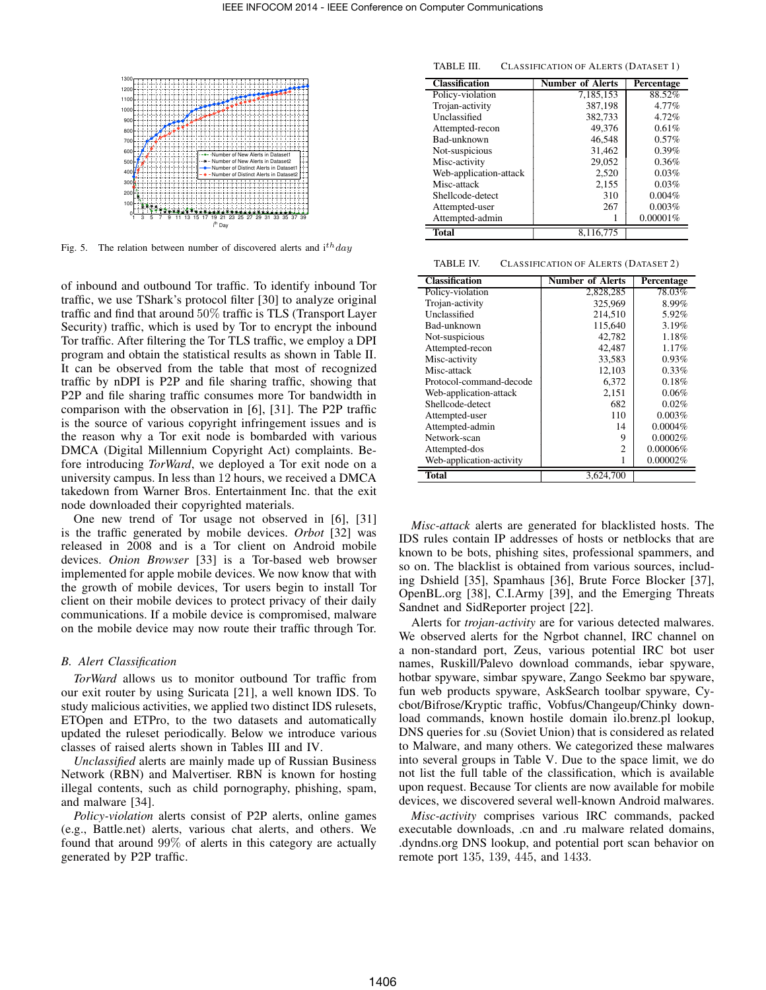

Fig. 5. The relation between number of discovered alerts and  $i^{th}$  day

of inbound and outbound Tor traffic. To identify inbound Tor traffic, we use TShark's protocol filter [30] to analyze original traffic and find that around 50% traffic is TLS (Transport Layer Security) traffic, which is used by Tor to encrypt the inbound Tor traffic. After filtering the Tor TLS traffic, we employ a DPI program and obtain the statistical results as shown in Table II. It can be observed from the table that most of recognized traffic by nDPI is P2P and file sharing traffic, showing that P2P and file sharing traffic consumes more Tor bandwidth in comparison with the observation in [6], [31]. The P2P traffic is the source of various copyright infringement issues and is the reason why a Tor exit node is bombarded with various DMCA (Digital Millennium Copyright Act) complaints. Before introducing *TorWard*, we deployed a Tor exit node on a university campus. In less than 12 hours, we received a DMCA takedown from Warner Bros. Entertainment Inc. that the exit node downloaded their copyrighted materials.

One new trend of Tor usage not observed in [6], [31] is the traffic generated by mobile devices. *Orbot* [32] was released in 2008 and is a Tor client on Android mobile devices. *Onion Browser* [33] is a Tor-based web browser implemented for apple mobile devices. We now know that with the growth of mobile devices, Tor users begin to install Tor client on their mobile devices to protect privacy of their daily communications. If a mobile device is compromised, malware on the mobile device may now route their traffic through Tor.

#### *B. Alert Classification*

*TorWard* allows us to monitor outbound Tor traffic from our exit router by using Suricata [21], a well known IDS. To study malicious activities, we applied two distinct IDS rulesets, ETOpen and ETPro, to the two datasets and automatically updated the ruleset periodically. Below we introduce various classes of raised alerts shown in Tables III and IV.

*Unclassified* alerts are mainly made up of Russian Business Network (RBN) and Malvertiser. RBN is known for hosting illegal contents, such as child pornography, phishing, spam, and malware [34].

*Policy-violation* alerts consist of P2P alerts, online games (e.g., Battle.net) alerts, various chat alerts, and others. We found that around 99% of alerts in this category are actually generated by P2P traffic.

TABLE III. CLASSIFICATION OF ALERTS (DATASET 1)

| <b>Classification</b>  | <b>Number of Alerts</b> | Percentage |
|------------------------|-------------------------|------------|
| Policy-violation       | 7,185,153               | 88.52%     |
| Trojan-activity        | 387,198                 | 4.77%      |
| Unclassified           | 382,733                 | 4.72%      |
| Attempted-recon        | 49.376                  | 0.61%      |
| Bad-unknown            | 46.548                  | 0.57%      |
| Not-suspicious         | 31.462                  | 0.39%      |
| Misc-activity          | 29,052                  | 0.36%      |
| Web-application-attack | 2,520                   | 0.03%      |
| Misc-attack            | 2,155                   | 0.03%      |
| Shellcode-detect       | 310                     | 0.004%     |
| Attempted-user         | 267                     | 0.003%     |
| Attempted-admin        |                         | 0.00001%   |
| Total                  | 8.116.775               |            |

TABLE IV. CLASSIFICATION OF ALERTS (DATASET 2)

| <b>Classification</b>    | <b>Number of Alerts</b> | Percentage |
|--------------------------|-------------------------|------------|
| Policy-violation         | 2,828,285               | 78.03%     |
| Trojan-activity          | 325,969                 | 8.99%      |
| Unclassified             | 214,510                 | 5.92%      |
| Bad-unknown              | 115,640                 | 3.19%      |
| Not-suspicious           | 42,782                  | 1.18%      |
| Attempted-recon          | 42,487                  | 1.17%      |
| Misc-activity            | 33,583                  | 0.93%      |
| Misc-attack              | 12,103                  | $0.33\%$   |
| Protocol-command-decode  | 6,372                   | 0.18%      |
| Web-application-attack   | 2,151                   | 0.06%      |
| Shellcode-detect         | 682                     | 0.02%      |
| Attempted-user           | 110                     | 0.003%     |
| Attempted-admin          | 14                      | 0.0004%    |
| Network-scan             | 9                       | 0.0002%    |
| Attempted-dos            | $\mathfrak{D}$          | 0.00006%   |
| Web-application-activity |                         | 0.00002%   |
| Total                    | 3.624.700               |            |

*Misc-attack* alerts are generated for blacklisted hosts. The IDS rules contain IP addresses of hosts or netblocks that are known to be bots, phishing sites, professional spammers, and so on. The blacklist is obtained from various sources, including Dshield [35], Spamhaus [36], Brute Force Blocker [37], OpenBL.org [38], C.I.Army [39], and the Emerging Threats Sandnet and SidReporter project [22].

Alerts for *trojan-activity* are for various detected malwares. We observed alerts for the Ngrbot channel, IRC channel on a non-standard port, Zeus, various potential IRC bot user names, Ruskill/Palevo download commands, iebar spyware, hotbar spyware, simbar spyware, Zango Seekmo bar spyware, fun web products spyware, AskSearch toolbar spyware, Cycbot/Bifrose/Kryptic traffic, Vobfus/Changeup/Chinky download commands, known hostile domain ilo.brenz.pl lookup, DNS queries for .su (Soviet Union) that is considered as related to Malware, and many others. We categorized these malwares into several groups in Table V. Due to the space limit, we do not list the full table of the classification, which is available upon request. Because Tor clients are now available for mobile devices, we discovered several well-known Android malwares.

*Misc-activity* comprises various IRC commands, packed executable downloads, .cn and .ru malware related domains, .dyndns.org DNS lookup, and potential port scan behavior on remote port 135, 139, 445, and 1433.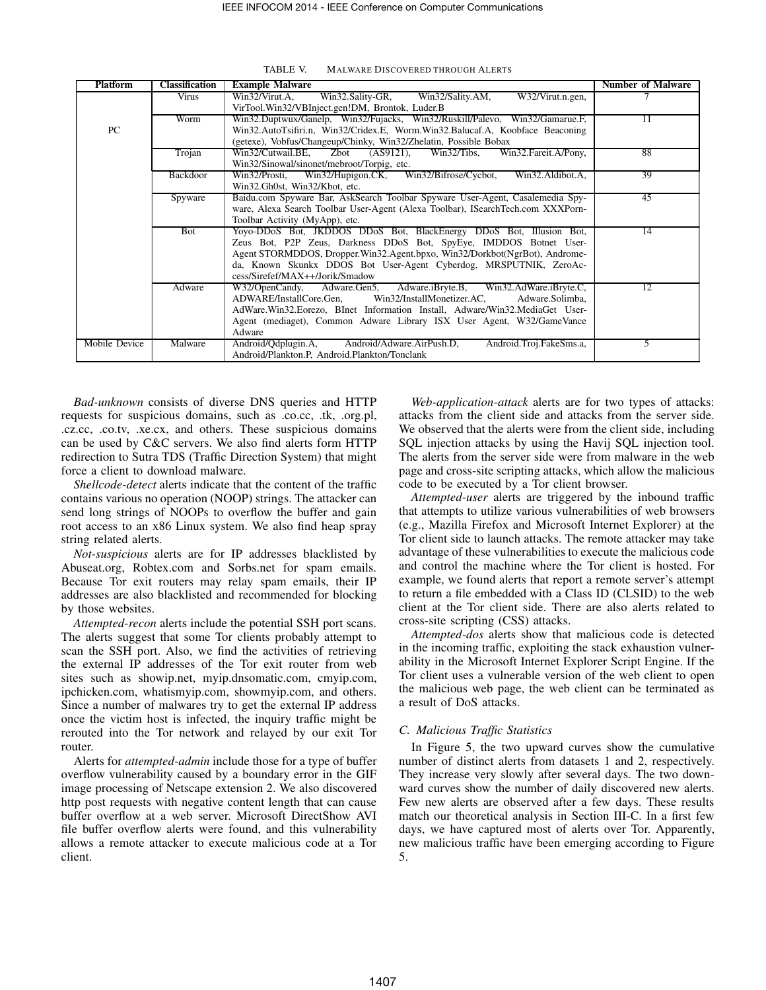| <b>Platform</b> | <b>Classification</b> | <b>Example Malware</b>                                                                                                                    | <b>Number of Malware</b> |
|-----------------|-----------------------|-------------------------------------------------------------------------------------------------------------------------------------------|--------------------------|
|                 | <b>Virus</b>          | Win32/Virut.A,<br>Win32.Sality-GR, Win32/Sality.AM,<br>W32/Virut.n.gen,                                                                   |                          |
|                 |                       | VirTool.Win32/VBInject.gen!DM, Brontok, Luder.B                                                                                           |                          |
|                 | Worm                  | Win32.Duptwux/Ganelp, Win32/Fujacks, Win32/Ruskill/Palevo, Win32/Gamarue.F,                                                               | 11                       |
| PC              |                       | Win32.AutoTsifiri.n, Win32/Cridex.E, Worm.Win32.Balucaf.A, Koobface Beaconing                                                             |                          |
|                 |                       | (getexe), Vobfus/Changeup/Chinky, Win32/Zhelatin, Possible Bobax                                                                          |                          |
|                 | Trojan                | Win32/Cutwail.BE, Zbot (AS9121),<br>Win32/Tibs,<br>Win32.Fareit.A/Pony.                                                                   | 88                       |
|                 |                       | Win32/Sinowal/sinonet/mebroot/Torpig, etc.                                                                                                |                          |
|                 | Backdoor              | Win32/Prosti, Win32/Hupigon.CK, Win32/Bifrose/Cycbot,<br>Win32.Aldibot.A,                                                                 | 39                       |
|                 |                       | Win32.Gh0st, Win32/Kbot, etc.                                                                                                             |                          |
|                 | Spyware               | Baidu.com Spyware Bar, AskSearch Toolbar Spyware User-Agent, Casalemedia Spy-                                                             | 45                       |
|                 |                       | ware, Alexa Search Toolbar User-Agent (Alexa Toolbar), ISearchTech.com XXXPorn-                                                           |                          |
|                 |                       | Toolbar Activity (MyApp), etc.                                                                                                            |                          |
|                 | <b>Bot</b>            | Yoyo-DDoS Bot, JKDDOS DDoS Bot, BlackEnergy DDoS Bot, Illusion Bot,<br>Zeus Bot, P2P Zeus, Darkness DDoS Bot, SpyEye, IMDDOS Botnet User- | 14                       |
|                 |                       | Agent STORMDDOS, Dropper.Win32.Agent.bpxo, Win32/Dorkbot(NgrBot), Androme-                                                                |                          |
|                 |                       | da, Known Skunkx DDOS Bot User-Agent Cyberdog, MRSPUTNIK, ZeroAc-                                                                         |                          |
|                 |                       | cess/Sirefef/MAX++/Jorik/Smadow                                                                                                           |                          |
|                 | Adware                | W32/OpenCandy, Adware.Gen5, Adware.iBryte.B, Win32.AdWare.iBryte.C,                                                                       | 12                       |
|                 |                       | Win32/InstallMonetizer.AC,<br>ADWARE/InstallCore.Gen,<br>Adware.Solimba.                                                                  |                          |
|                 |                       | AdWare.Win32.Eorezo, BInet Information Install, Adware/Win32.MediaGet User-                                                               |                          |
|                 |                       | Agent (mediaget), Common Adware Library ISX User Agent, W32/GameVance                                                                     |                          |
|                 |                       | Adware                                                                                                                                    |                          |
| Mobile Device   | Malware               | Android/Qdplugin.A,<br>Android.Troj.FakeSms.a,<br>Android/Adware.AirPush.D,                                                               | 5                        |
|                 |                       | Android/Plankton.P, Android.Plankton/Tonclank                                                                                             |                          |
|                 |                       |                                                                                                                                           |                          |

TABLE V. MALWARE DISCOVERED THROUGH ALERTS

*Bad-unknown* consists of diverse DNS queries and HTTP requests for suspicious domains, such as .co.cc, .tk, .org.pl, .cz.cc, .co.tv, .xe.cx, and others. These suspicious domains can be used by C&C servers. We also find alerts form HTTP redirection to Sutra TDS (Traffic Direction System) that might force a client to download malware.

*Shellcode-detect* alerts indicate that the content of the traffic contains various no operation (NOOP) strings. The attacker can send long strings of NOOPs to overflow the buffer and gain root access to an x86 Linux system. We also find heap spray string related alerts.

*Not-suspicious* alerts are for IP addresses blacklisted by Abuseat.org, Robtex.com and Sorbs.net for spam emails. Because Tor exit routers may relay spam emails, their IP addresses are also blacklisted and recommended for blocking by those websites.

*Attempted-recon* alerts include the potential SSH port scans. The alerts suggest that some Tor clients probably attempt to scan the SSH port. Also, we find the activities of retrieving the external IP addresses of the Tor exit router from web sites such as showip.net, myip.dnsomatic.com, cmyip.com, ipchicken.com, whatismyip.com, showmyip.com, and others. Since a number of malwares try to get the external IP address once the victim host is infected, the inquiry traffic might be rerouted into the Tor network and relayed by our exit Tor router.

Alerts for *attempted-admin* include those for a type of buffer overflow vulnerability caused by a boundary error in the GIF image processing of Netscape extension 2. We also discovered http post requests with negative content length that can cause buffer overflow at a web server. Microsoft DirectShow AVI file buffer overflow alerts were found, and this vulnerability allows a remote attacker to execute malicious code at a Tor client.

*Web-application-attack* alerts are for two types of attacks: attacks from the client side and attacks from the server side. We observed that the alerts were from the client side, including SQL injection attacks by using the Havij SQL injection tool. The alerts from the server side were from malware in the web page and cross-site scripting attacks, which allow the malicious code to be executed by a Tor client browser.

*Attempted-user* alerts are triggered by the inbound traffic that attempts to utilize various vulnerabilities of web browsers (e.g., Mazilla Firefox and Microsoft Internet Explorer) at the Tor client side to launch attacks. The remote attacker may take advantage of these vulnerabilities to execute the malicious code and control the machine where the Tor client is hosted. For example, we found alerts that report a remote server's attempt to return a file embedded with a Class ID (CLSID) to the web client at the Tor client side. There are also alerts related to cross-site scripting (CSS) attacks.

*Attempted-dos* alerts show that malicious code is detected in the incoming traffic, exploiting the stack exhaustion vulnerability in the Microsoft Internet Explorer Script Engine. If the Tor client uses a vulnerable version of the web client to open the malicious web page, the web client can be terminated as a result of DoS attacks.

# *C. Malicious Traffic Statistics*

In Figure 5, the two upward curves show the cumulative number of distinct alerts from datasets 1 and 2, respectively. They increase very slowly after several days. The two downward curves show the number of daily discovered new alerts. Few new alerts are observed after a few days. These results match our theoretical analysis in Section III-C. In a first few days, we have captured most of alerts over Tor. Apparently, new malicious traffic have been emerging according to Figure 5.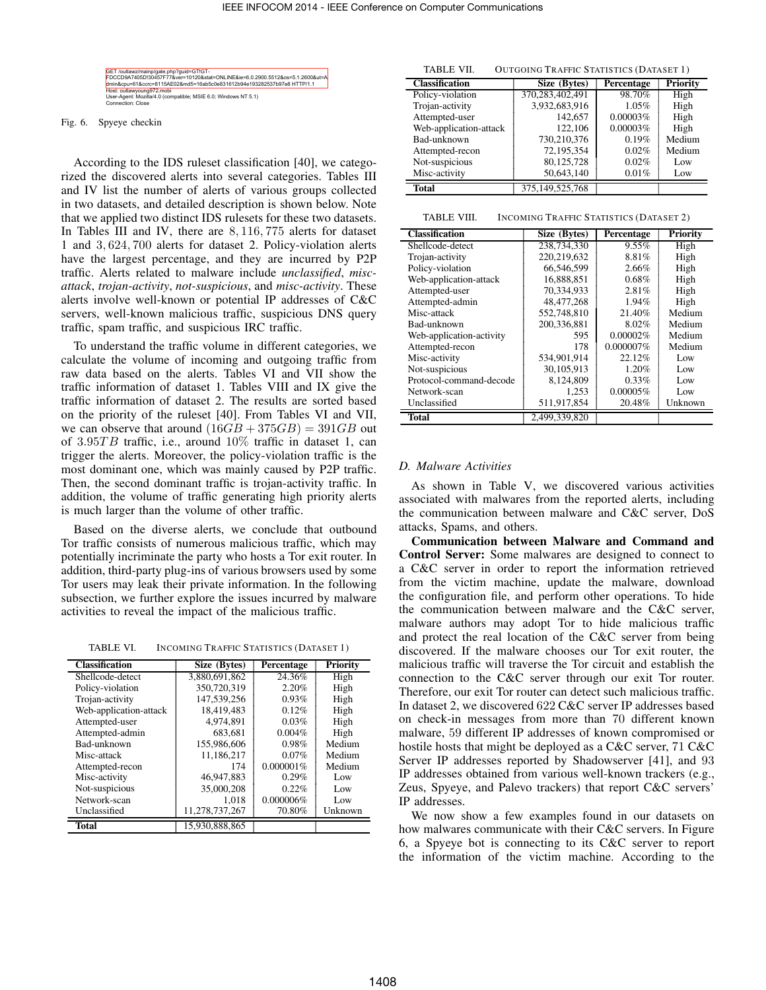|                           | GET /outlawz/mainp/gate.php?guid=GT!GT-                                       |
|---------------------------|-------------------------------------------------------------------------------|
|                           | FDCCD9A7405D!30457F77&ver=10120&stat=ONLINE&ie=6.0.2900.5512&os=5.1.2600&ut=A |
|                           | dmin&cpu=61&ccrc=8115AE02&md5=16ab5c0e831612b94e193282537b97e8 HTTP/1.1       |
| Host: outlawyoung972.mobi |                                                                               |
|                           | User-Agent: Mozilla/4.0 (compatible: MSIE 6.0: Windows NT 5.1)                |
| Connection: Close         |                                                                               |

Fig. 6. Spyeye checkin

According to the IDS ruleset classification [40], we categorized the discovered alerts into several categories. Tables III and IV list the number of alerts of various groups collected in two datasets, and detailed description is shown below. Note that we applied two distinct IDS rulesets for these two datasets. In Tables III and IV, there are 8, 116, 775 alerts for dataset 1 and 3, 624, 700 alerts for dataset 2. Policy-violation alerts have the largest percentage, and they are incurred by P2P traffic. Alerts related to malware include *unclassified*, *miscattack*, *trojan-activity*, *not-suspicious*, and *misc-activity*. These alerts involve well-known or potential IP addresses of C&C servers, well-known malicious traffic, suspicious DNS query traffic, spam traffic, and suspicious IRC traffic.

To understand the traffic volume in different categories, we calculate the volume of incoming and outgoing traffic from raw data based on the alerts. Tables VI and VII show the traffic information of dataset 1. Tables VIII and IX give the traffic information of dataset 2. The results are sorted based on the priority of the ruleset [40]. From Tables VI and VII, we can observe that around  $(16GB + 375GB) = 391GB$  out of  $3.95TB$  traffic, i.e., around  $10\%$  traffic in dataset 1, can trigger the alerts. Moreover, the policy-violation traffic is the most dominant one, which was mainly caused by P2P traffic. Then, the second dominant traffic is trojan-activity traffic. In addition, the volume of traffic generating high priority alerts is much larger than the volume of other traffic.

Based on the diverse alerts, we conclude that outbound Tor traffic consists of numerous malicious traffic, which may potentially incriminate the party who hosts a Tor exit router. In addition, third-party plug-ins of various browsers used by some Tor users may leak their private information. In the following subsection, we further explore the issues incurred by malware activities to reveal the impact of the malicious traffic.

TABLE VI. INCOMING TRAFFIC STATISTICS (DATASET 1)

| <b>Classification</b>  | Size (Bytes)   | Percentage   | Priority |
|------------------------|----------------|--------------|----------|
| Shellcode-detect       | 3,880,691,862  | 24.36%       | High     |
| Policy-violation       | 350,720,319    | 2.20%        | High     |
| Trojan-activity        | 147,539,256    | 0.93%        | High     |
| Web-application-attack | 18.419.483     | 0.12%        | High     |
| Attempted-user         | 4.974.891      | 0.03%        | High     |
| Attempted-admin        | 683,681        | 0.004%       | High     |
| Bad-unknown            | 155,986,606    | 0.98%        | Medium   |
| Misc-attack            | 11,186,217     | $0.07\%$     | Medium   |
| Attempted-recon        | 174            | $0.000001\%$ | Medium   |
| Misc-activity          | 46,947,883     | 0.29%        | Low      |
| Not-suspicious         | 35,000,208     | 0.22%        | Low      |
| Network-scan           | 1.018          | 0.000006%    | Low      |
| Unclassified           | 11,278,737,267 | 70.80%       | Unknown  |
| <b>Total</b>           | 15,930,888,865 |              |          |

TABLE VII. OUTGOING TRAFFIC STATISTICS (DATASET 1)

| <b>Classification</b>  | Size (Bytes)       | Percentage | <b>Priority</b> |
|------------------------|--------------------|------------|-----------------|
| Policy-violation       | 370.283.402.491    | 98.70%     | High            |
| Trojan-activity        | 3,932,683,916      | 1.05%      | High            |
| Attempted-user         | 142,657            | 0.00003%   | High            |
| Web-application-attack | 122,106            | 0.00003%   | High            |
| Bad-unknown            | 730,210,376        | 0.19%      | Medium          |
| Attempted-recon        | 72,195,354         | 0.02%      | Medium          |
| Not-suspicious         | 80,125,728         | 0.02%      | Low             |
| Misc-activity          | 50.643.140         | 0.01%      | Low             |
| Total                  | 375, 149, 525, 768 |            |                 |

TABLE VIII. INCOMING TRAFFIC STATISTICS (DATASET 2)

| <b>Classification</b>    | Size (Bytes)  | Percentage   | <b>Priority</b> |
|--------------------------|---------------|--------------|-----------------|
| Shellcode-detect         | 238,734,330   | $9.55\%$     | High            |
| Trojan-activity          | 220.219.632   | 8.81%        | High            |
| Policy-violation         | 66,546,599    | 2.66%        | High            |
| Web-application-attack   | 16,888,851    | 0.68%        | High            |
| Attempted-user           | 70,334,933    | 2.81%        | High            |
| Attempted-admin          | 48, 477, 268  | 1.94%        | High            |
| Misc-attack              | 552,748,810   | 21.40%       | Medium          |
| Bad-unknown              | 200.336.881   | $8.02\%$     | Medium          |
| Web-application-activity | 595           | 0.00002%     | Medium          |
| Attempted-recon          | 178           | $0.000007\%$ | Medium          |
| Misc-activity            | 534,901.914   | 22.12%       | Low             |
| Not-suspicious           | 30.105.913    | 1.20%        | Low             |
| Protocol-command-decode  | 8,124,809     | 0.33%        | Low             |
| Network-scan             | 1.253         | 0.00005%     | Low             |
| Unclassified             | 511,917,854   | 20.48%       | Unknown         |
| <b>Total</b>             | 2,499,339,820 |              |                 |

# *D. Malware Activities*

As shown in Table V, we discovered various activities associated with malwares from the reported alerts, including the communication between malware and C&C server, DoS attacks, Spams, and others.

**Communication between Malware and Command and Control Server:** Some malwares are designed to connect to a C&C server in order to report the information retrieved from the victim machine, update the malware, download the configuration file, and perform other operations. To hide the communication between malware and the C&C server, malware authors may adopt Tor to hide malicious traffic and protect the real location of the C&C server from being discovered. If the malware chooses our Tor exit router, the malicious traffic will traverse the Tor circuit and establish the connection to the C&C server through our exit Tor router. Therefore, our exit Tor router can detect such malicious traffic. In dataset 2, we discovered 622 C&C server IP addresses based on check-in messages from more than 70 different known malware, 59 different IP addresses of known compromised or hostile hosts that might be deployed as a C&C server, 71 C&C Server IP addresses reported by Shadowserver [41], and 93 IP addresses obtained from various well-known trackers (e.g., Zeus, Spyeye, and Palevo trackers) that report C&C servers' IP addresses.

We now show a few examples found in our datasets on how malwares communicate with their C&C servers. In Figure 6, a Spyeye bot is connecting to its C&C server to report the information of the victim machine. According to the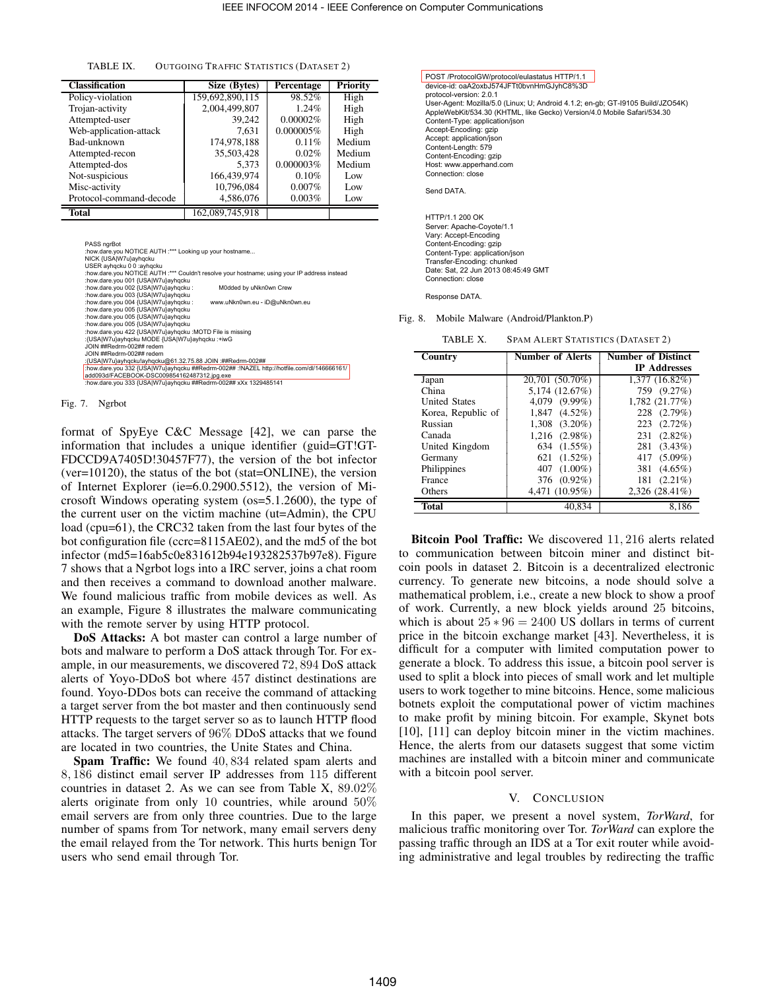TABLE IX. OUTGOING TRAFFIC STATISTICS (DATASET 2)

| <b>Classification</b>   | Size (Bytes)    | <b>Percentage</b> | <b>Priority</b> |
|-------------------------|-----------------|-------------------|-----------------|
| Policy-violation        | 159,692,890,115 | 98.52%            | High            |
| Trojan-activity         | 2.004.499.807   | $1.24\%$          | High            |
| Attempted-user          | 39.242          | $0.00002\%$       | High            |
| Web-application-attack  | 7.631           | $0.000005\%$      | High            |
| Bad-unknown             | 174,978,188     | 0.11%             | Medium          |
| Attempted-recon         | 35,503,428      | $0.02\%$          | Medium          |
| Attempted-dos           | 5.373           | 0.000003%         | Medium          |
| Not-suspicious          | 166,439,974     | 0.10%             | Low             |
| Misc-activity           | 10,796,084      | $0.007\%$         | Low             |
| Protocol-command-decode | 4,586,076       | 0.003%            | Low             |
| Total                   | 162.089.745.918 |                   |                 |

PASS ngrBot :how.dare.you NOTICE AUTH :\*\*\* Looking up your hostname...<br>NICK {USA|W7u}ayhqcku<br>USER ayhqcku 0 0 :ayhqcku how.dare.you NOTICE AUTH :\*\*\* Couldn't resolve your hostname; using your IP address instead: :how.dare.you 001 {USA|W7u}ayhqcku<br>:how.dare.you 002 {USA|W7u}ayhqcku : M0dded by uNkn0wn Crew  $\ln$ ow dare vou 003  $\overline{\text{RMSA}}$ W7u $\overline{\text{Bay}}$ hocku KRZGDUH\RX ^86\$\_:X`D\KTFNX ZZZX1NQZQHX L'#X1NQZQHX :how.dare.you 005 {USA|W7u}ayhqcku<br>:how.dare.you 005 {USA|W7u}ayhqcku<br>:how.dare.you 005 {USA|W7u}ayhqcku how.dare.vou 422 {USAIW7u}avhocku :MOTD File is missing: :{USA|W7u}ayhqcku MODE {USA|W7u}ayhqcku :+iwG<br>JOIN ##Redrm-002## redem JOIN ##Redrn-002## redem<br>:<u>{USA|WTu}ayhqckulayhqcku@</u>61.32.75.88 JOIN ##Redrm-002##<br>how.dare.you 332 {USA|WTu}ayhqcku ##Redrm-002## :!NAZEL http://hotfile.com/dl/146666161/<br>add093d/FACEBOOK-DSC00985416248712.jpg.exe<br>how.da

#### Fig. 7. Ngrbot

format of SpyEye C&C Message [42], we can parse the information that includes a unique identifier (guid=GT!GT-FDCCD9A7405D!30457F77), the version of the bot infector (ver=10120), the status of the bot (stat=ONLINE), the version of Internet Explorer (ie=6.0.2900.5512), the version of Microsoft Windows operating system (os=5.1.2600), the type of the current user on the victim machine (ut=Admin), the CPU load (cpu=61), the CRC32 taken from the last four bytes of the bot configuration file (ccrc=8115AE02), and the md5 of the bot infector (md5=16ab5c0e831612b94e193282537b97e8). Figure 7 shows that a Ngrbot logs into a IRC server, joins a chat room and then receives a command to download another malware. We found malicious traffic from mobile devices as well. As an example, Figure 8 illustrates the malware communicating with the remote server by using HTTP protocol.

**DoS Attacks:** A bot master can control a large number of bots and malware to perform a DoS attack through Tor. For example, in our measurements, we discovered 72, 894 DoS attack alerts of Yoyo-DDoS bot where 457 distinct destinations are found. Yoyo-DDos bots can receive the command of attacking a target server from the bot master and then continuously send HTTP requests to the target server so as to launch HTTP flood attacks. The target servers of 96% DDoS attacks that we found are located in two countries, the Unite States and China.

**Spam Traffic:** We found 40, 834 related spam alerts and 8, 186 distinct email server IP addresses from 115 different countries in dataset 2. As we can see from Table X, 89.02% alerts originate from only 10 countries, while around 50% email servers are from only three countries. Due to the large number of spams from Tor network, many email servers deny the email relayed from the Tor network. This hurts benign Tor users who send email through Tor.

POST /ProtocolGW/protocol/eulastatus HTTP/1.1 device-id: oaA2oxbJ574JFTt0bvnHmGJyhC8%3D protocol-version: 2.0.1 Breteser veretern. Ererrikansk U; Android 4.1.2; en-gb; GT-19105 Build/JZO54K) AppleWebKit/534.30 (KHTML, like Gecko) Version/4.0 Mobile Safari/534.30 Content-Type: application/json Accept-Encoding: gzip Accept: application/json Content-Length: 579 Content-Encoding: gzip Host: www.apperhand.com Connection: close Send DATA HTTP/1.1 200 OK Server: Apache-Coyote/1.1

Vary: Accept-Encoding Content-Encoding: gzip Content-Type: application/json Transfer-Encoding: chunked Date: Sat, 22 Jun 2013 08:45:49 GMT Connection: close

Response DATA.

Fig. 8. Mobile Malware (Android/Plankton.P)

TABLE X. SPAM ALERT STATISTICS (DATASET 2)

| Country              | <b>Number of Alerts</b> | <b>Number of Distinct</b> |  |
|----------------------|-------------------------|---------------------------|--|
|                      |                         | <b>IP</b> Addresses       |  |
| Japan                | 20,701 (50.70%)         | 1,377 (16.82%)            |  |
| China                | 5,174 (12.67%)          | 759 (9.27%)               |  |
| <b>United States</b> | 4.079 (9.99%)           | 1,782 (21.77%)            |  |
| Korea, Republic of   | 1,847 (4.52%)           | 228 (2.79%)               |  |
| Russian              | 1,308 (3.20%)           | $(2.72\%)$<br>223         |  |
| Canada               | 1.216 (2.98%)           | $(2.82\%)$<br>231         |  |
| United Kingdom       | 634 (1.55%)             | $(3.43\%)$<br>281         |  |
| Germany              | $(1.52\%)$<br>621       | $(5.09\%)$<br>417         |  |
| Philippines          | 407 (1.00%)             | $(4.65\%)$<br>381         |  |
| France               | 376 (0.92%)             | $(2.21\%)$<br>181         |  |
| Others               | 4,471 (10.95%)          | 2,326 (28.41%)            |  |
| <b>Total</b>         | 40.834                  | 8.186                     |  |

**Bitcoin Pool Traffic:** We discovered 11, 216 alerts related to communication between bitcoin miner and distinct bitcoin pools in dataset 2. Bitcoin is a decentralized electronic currency. To generate new bitcoins, a node should solve a mathematical problem, i.e., create a new block to show a proof of work. Currently, a new block yields around 25 bitcoins, which is about  $25 * 96 = 2400$  US dollars in terms of current price in the bitcoin exchange market [43]. Nevertheless, it is difficult for a computer with limited computation power to generate a block. To address this issue, a bitcoin pool server is used to split a block into pieces of small work and let multiple users to work together to mine bitcoins. Hence, some malicious botnets exploit the computational power of victim machines to make profit by mining bitcoin. For example, Skynet bots [10], [11] can deploy bitcoin miner in the victim machines. Hence, the alerts from our datasets suggest that some victim machines are installed with a bitcoin miner and communicate with a bitcoin pool server.

#### V. CONCLUSION

In this paper, we present a novel system, *TorWard*, for malicious traffic monitoring over Tor. *TorWard* can explore the passing traffic through an IDS at a Tor exit router while avoiding administrative and legal troubles by redirecting the traffic